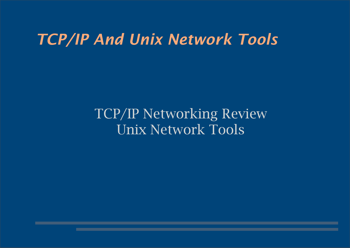### *TCP/IP And Unix Network Tools*

#### TCP/IP Networking Review Unix Network Tools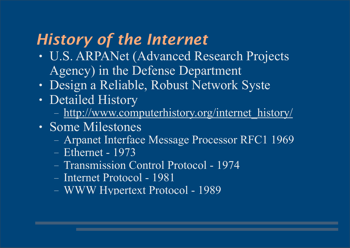# *History of the Internet*

- U.S. ARPANet (Advanced Research Projects Agency) in the Defense Department
- Design a Reliable, Robust Network Syste
- Detailed History
	- [http://www.computerhistory.org/internet\\_history/](http://www.computerhistory.org/internet_history/)
- Some Milestones
	- Arpanet Interface Message Processor RFC1 1969
	- Ethernet 1973
	- Transmission Control Protocol 1974
	- Internet Protocol 1981
	- WWW Hypertext Protocol 1989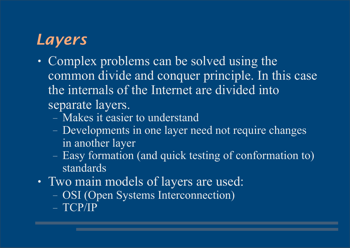# *Layers*

- Complex problems can be solved using the common divide and conquer principle. In this case the internals of the Internet are divided into separate layers.
	- Makes it easier to understand
	- Developments in one layer need not require changes in another layer
	- Easy formation (and quick testing of conformation to) standards
- Two main models of layers are used:
	- OSI (Open Systems Interconnection)
	- TCP/IP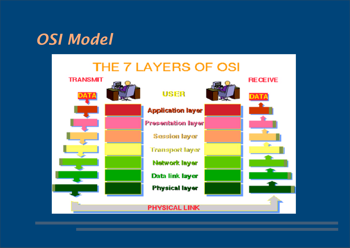### *OSI Model*

#### THE 7 LAYERS OF OSI

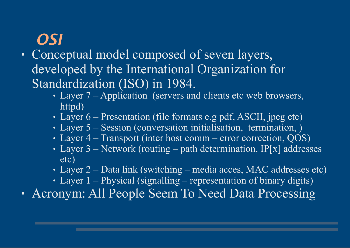# *OSI*

- Conceptual model composed of seven layers, developed by the International Organization for Standardization (ISO) in 1984.
	- Layer 7 Application (servers and clients etc web browsers, httpd)
	- Layer  $6$  Presentation (file formats e.g pdf, ASCII, jpeg etc)
	- Layer 5 Session (conversation initialisation, termination, )
	- Layer  $4$  Transport (inter host comm error correction, QOS)
	- Layer 3 Network (routing path determination, IP[x] addresses etc)
	- Layer 2 Data link (switching media acces, MAC addresses etc)
	- Layer  $1$  Physical (signalling representation of binary digits)

• Acronym: All People Seem To Need Data Processing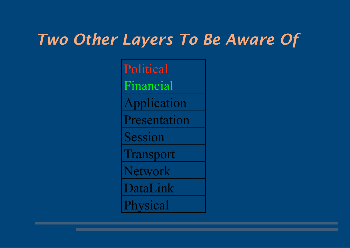### *Two Other Layers To Be Aware Of*

Political Financial Application Presentation Session Transport Network DataLink **Physical**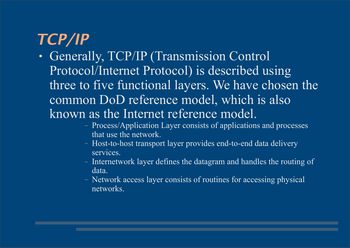# *TCP/IP*

- Generally, TCP/IP (Transmission Control Protocol/Internet Protocol) is described using three to five functional layers. We have chosen the common DoD reference model, which is also known as the Internet reference model.
	- Process/Application Layer consists of applications and processes that use the network.
	- Host-to-host transport layer provides end-to-end data delivery services.
	- Internetwork layer defines the datagram and handles the routing of data.
	- Network access layer consists of routines for accessing physical networks.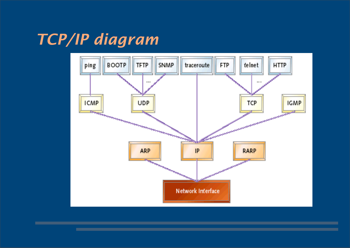# *TCP/IP diagram*

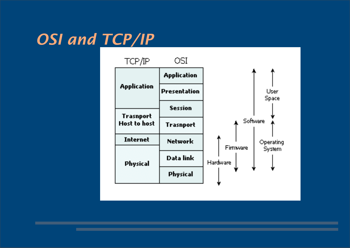# *OSI and TCP/IP*

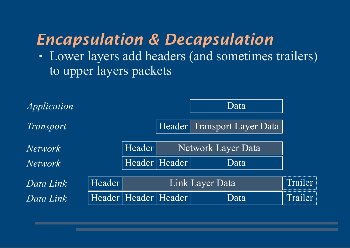# *Encapsulation & Decapsulation*

• Lower layers add headers (and sometimes trailers) to upper layers packets

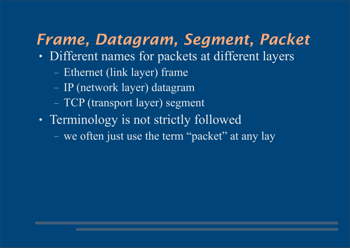# *Frame, Datagram, Segment, Packet*

- Different names for packets at different layers
	- Ethernet (link layer) frame
	- IP (network layer) datagram
	- TCP (transport layer) segment
- Terminology is not strictly followed
	- we often just use the term "packet" at any lay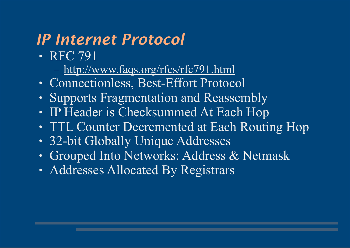# *IP Internet Protocol*

- RFC 791
	- <http://www.faqs.org/rfcs/rfc791.html>
- Connectionless, Best-Effort Protocol
- Supports Fragmentation and Reassembly
- IP Header is Checksummed At Each Hop
- TTL Counter Decremented at Each Routing Hop
- 32-bit Globally Unique Addresses
- Grouped Into Networks: Address & Netmask
- Addresses Allocated By Registrars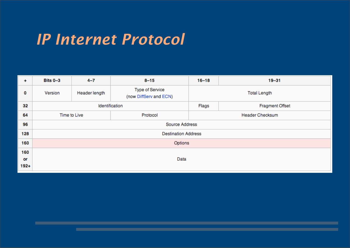### *IP Internet Protocol*

| $\ddot{}$ | Bits 0-3                   | $4 - 7$       | $8 - 15$                                  | $16 - 18$              | $19 - 31$              |  |  |  |  |  |  |
|-----------|----------------------------|---------------|-------------------------------------------|------------------------|------------------------|--|--|--|--|--|--|
| O         | Version                    | Header length | Type of Service<br>(now DiffServ and ECN) | <b>Total Length</b>    |                        |  |  |  |  |  |  |
| 32        |                            |               | Identification                            | Flags                  | <b>Fragment Offset</b> |  |  |  |  |  |  |
| 64        |                            | Time to Live  | Protocol                                  | <b>Header Checksum</b> |                        |  |  |  |  |  |  |
| 96        | Source Address             |               |                                           |                        |                        |  |  |  |  |  |  |
| 128       | <b>Destination Address</b> |               |                                           |                        |                        |  |  |  |  |  |  |
| 160       | Options                    |               |                                           |                        |                        |  |  |  |  |  |  |
| 160       |                            |               |                                           |                        |                        |  |  |  |  |  |  |
| or        | Data                       |               |                                           |                        |                        |  |  |  |  |  |  |
| $192 +$   |                            |               |                                           |                        |                        |  |  |  |  |  |  |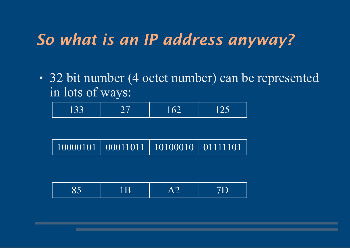### *So what is an IP address anyway?*

• 32 bit number (4 octet number) can be represented in lots of ways:

| 10000101   00011011   10100010   01111101 |  |  |
|-------------------------------------------|--|--|
|-------------------------------------------|--|--|

| $\sim$ $\sim$<br>$\bm{\cup}$ $\bm{\cup}$ | ≂<br>. .<br>$\sim$ $\sim$ $\sim$ | E<br>ду<br>T TH | $\overline{\phantom{a}}$<br>__ |
|------------------------------------------|----------------------------------|-----------------|--------------------------------|
|------------------------------------------|----------------------------------|-----------------|--------------------------------|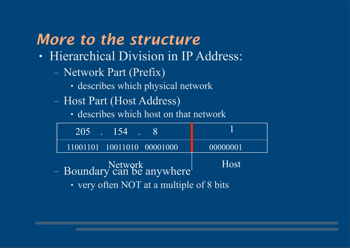# *More to the structure*

- Hierarchical Division in IP Address:
	- Network Part (Prefix)
		- describes which physical network
	- Host Part (Host Address)
		- describes which host on that network

| $1205$ . $154$                       |             |
|--------------------------------------|-------------|
| $(11001101 \t 10011010 \t 00001000)$ | 00000001    |
| - Boundary can be anywhere           | <b>Host</b> |
|                                      |             |

• very often NOT at a multiple of 8 bits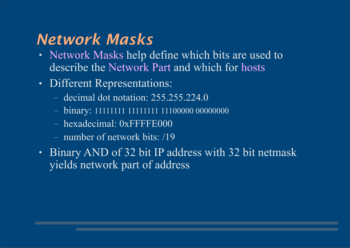# *Network Masks*

- Network Masks help define which bits are used to describe the Network Part and which for hosts
- Different Representations:
	- decimal dot notation: 255.255.224.0
	- binary: 11111111 11111111 11100000 00000000
	- hexadecimal: 0xFFFFE000
	- number of network bits: /19
- Binary AND of 32 bit IP address with 32 bit netmask yields network part of address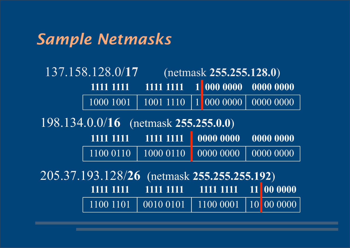### *Sample Netmasks*

137.158.128.0/**17** (netmask **255.255.128.0**) 1000 1001 | 1001 1110 | 1 000 0000 | 0000 0000 **1111 1111 1111 1111 1 000 0000 0000 0000** 

1100 0110 | 1000 0110 | 0000 0000 | 0000 0000 **1111 1111 1111 1111 0000 0000 0000 0000**  198.134.0.0/**16** (netmask **255.255.0.0**)

1100 1101 0010 0101 1100 0001 10 00 0000 **1111 1111 1111 1111 1111 1111 11 00 0000**  205.37.193.128/**26** (netmask **255.255.255.192**)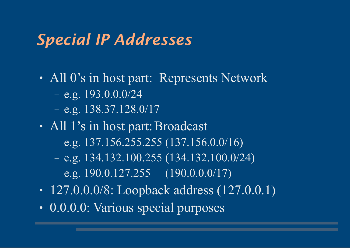### *Special IP Addresses*

- All 0's in host part: Represents Network
	- $-$  e.g. 193.0.0.0/24
	- $-$  e.g. 138.37.128.0/17
- All 1's in host part: Broadcast
	- $-$  e.g. 137.156.255.255 (137.156.0.0/16)
	- $-$  e.g. 134.132.100.255 (134.132.100.0/24)
	- $-$  e.g. 190.0.127.255 (190.0.0.0/17)
- 127.0.0.0/8: Loopback address  $(127.0.0.1)$
- 0.0.0.0: Various special purposes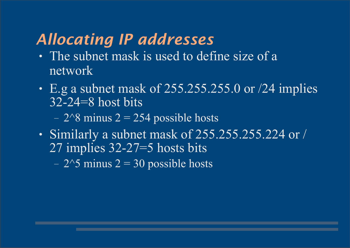# *Allocating IP addresses*

- The subnet mask is used to define size of a network
- E.g a subnet mask of  $255.255.255.0$  or  $/24$  implies 32-24=8 host bits
	- $2^8$  minus 2 = 254 possible hosts
- Similarly a subnet mask of 255.255.255.224 or / 27 implies 32-27=5 hosts bits
	- $2^{\wedge}5$  minus  $2 = 30$  possible hosts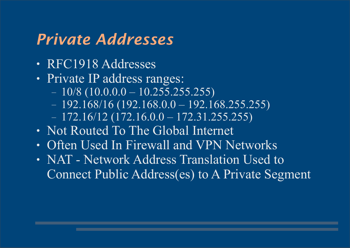### *Private Addresses*

- RFC1918 Addresses
- Private IP address ranges:
	- $-10/8$  (10.0.0.0  $-10.255.255.255$ )
	- $-192.168/16(192.168.0.0 192.168.255.255)$
	- $-172.16/12(172.16.0.0 172.31.255.255)$
- Not Routed To The Global Internet
- Often Used In Firewall and VPN Networks
- NAT Network Address Translation Used to Connect Public Address(es) to A Private Segment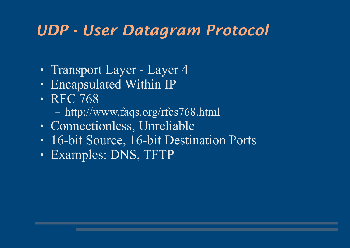### *UDP - User Datagram Protocol*

- Transport Layer Layer 4
- Encapsulated Within IP
- RFC 768
	- <http://www.faqs.org/rfcs768.html>
- Connectionless, Unreliable
- 16-bit Source, 16-bit Destination Ports
- Examples: DNS, TFTP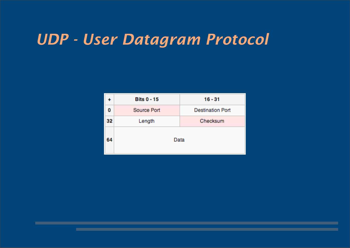## *UDP - User Datagram Protocol*

| ۰  | <b>Bits 0 - 15</b> | $16 - 31$               |  |  |  |
|----|--------------------|-------------------------|--|--|--|
| 0  | Source Port        | <b>Destination Port</b> |  |  |  |
| 32 | Length             | Checksum                |  |  |  |
| 64 | Data               |                         |  |  |  |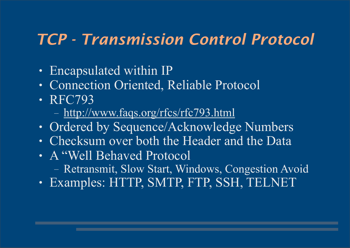# *TCP - Transmission Control Protocol*

- Encapsulated within IP
- Connection Oriented, Reliable Protocol
- RFC793
	- <http://www.faqs.org/rfcs/rfc793.html>
- Ordered by Sequence/Acknowledge Numbers
- Checksum over both the Header and the Data
- A "Well Behaved Protocol
	- Retransmit, Slow Start, Windows, Congestion Avoid
- Examples: HTTP, SMTP, FTP, SSH, TELNET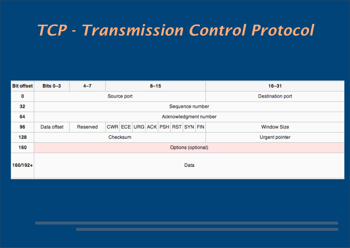# *TCP - Transmission Control Protocol*

| <b>Bit offset</b> | Bits 0-3              | $4 - 7$  | $8 - 15$                        |  |  |  |  |  |  |  | $16 - 31$          |  |  |
|-------------------|-----------------------|----------|---------------------------------|--|--|--|--|--|--|--|--------------------|--|--|
| 0                 | Source port           |          |                                 |  |  |  |  |  |  |  | Destination port   |  |  |
| 32                | Sequence number       |          |                                 |  |  |  |  |  |  |  |                    |  |  |
| 64                | Acknowledgment number |          |                                 |  |  |  |  |  |  |  |                    |  |  |
| 96                | Data offset           | Reserved | CWR ECE URG ACK PSH RST SYN FIN |  |  |  |  |  |  |  | <b>Window Size</b> |  |  |
| 128               | Checksum              |          |                                 |  |  |  |  |  |  |  | Urgent pointer     |  |  |
| 160               | Options (optional)    |          |                                 |  |  |  |  |  |  |  |                    |  |  |
| 160/192+          | Data                  |          |                                 |  |  |  |  |  |  |  |                    |  |  |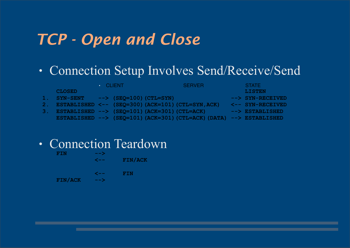# *TCP - Open and Close*

#### • Connection Setup Involves Send/Receive/Send

|     | <b>CLOSED</b>                                          | $\cdot$ CLIENT.                      | <b>SERVER</b>                                                                          | <b>STATE</b><br><b>LISTEN</b>   |
|-----|--------------------------------------------------------|--------------------------------------|----------------------------------------------------------------------------------------|---------------------------------|
|     | <b>SYN-SENT</b>                                        | $\left(-\right)$ (SEQ=100) (CTL=SYN) |                                                                                        | --> SYN-RECEIVED                |
| 2.1 |                                                        |                                      | ESTABLISHED <-- (SEQ=300) (ACK=101) (CTL=SYN, ACK)                                     | $\lt$ -- SYN-RECEIVED           |
| 3.  | ESTABLISHED $\leftarrow$ (SEQ=101) (ACK=301) (CTL=ACK) |                                      |                                                                                        | $\leftarrow$ $\geq$ ESTABLISHED |
|     |                                                        |                                      | ESTABLISHED $\leftarrow$ (SEQ=101) (ACK=301) (CTL=ACK) (DATA) $\leftarrow$ ESTABLISHED |                                 |
|     |                                                        |                                      |                                                                                        |                                 |

• Connection Teardown

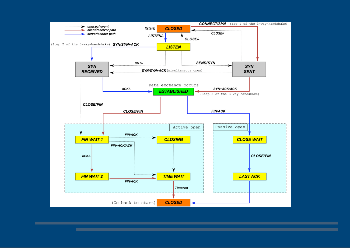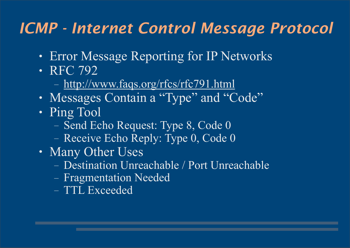# *ICMP - Internet Control Message Protocol*

- Error Message Reporting for IP Networks
- RFC 792
	- <http://www.faqs.org/rfcs/rfc791.html>
- Messages Contain a "Type" and "Code"
- Ping Tool
	- Send Echo Request: Type 8, Code 0
	- Receive Echo Reply: Type 0, Code 0
- Many Other Uses
	- Destination Unreachable / Port Unreachable
	- Fragmentation Needed
	- TTL Exceeded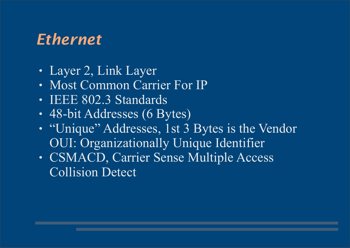# *Ethernet*

- Layer 2, Link Layer
- Most Common Carrier For IP
- IEEE 802.3 Standards
- 48-bit Addresses (6 Bytes)
- "Unique" Addresses, 1st 3 Bytes is the Vendor OUI: Organizationally Unique Identifier
- CSMACD, Carrier Sense Multiple Access Collision Detect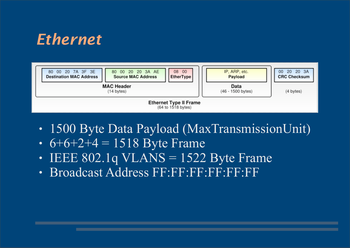# *Ethernet*



- 1500 Byte Data Payload (MaxTransmissionUnit)
- $6+6+2+4 = 1518$  Byte Frame
- IEEE 802.1q VLANS =  $1522$  Byte Frame
- Broadcast Address FF:FF:FF:FF:FF:FF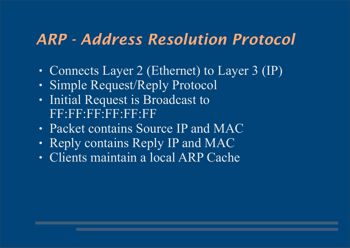### *ARP - Address Resolution Protocol*

- Connects Layer 2 (Ethernet) to Layer 3 (IP)
- Simple Request/Reply Protocol
- Initial Request is Broadcast to F3593593333333
- Packet contains Source IP and MAC
- Reply contains Reply IP and MAC
- Clients maintain a local ARP Cache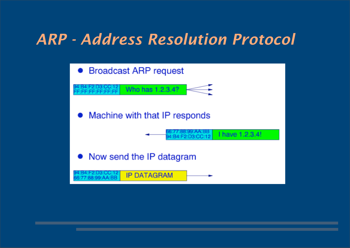### *ARP - Address Resolution Protocol*

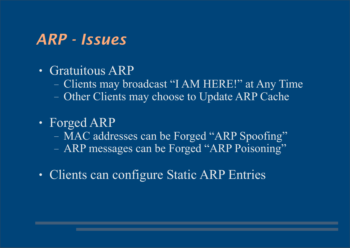#### *ARP - Issues*

- Gratuitous ARP
	- Clients may broadcast "I AM HERE!" at Any Time
	- Other Clients may choose to Update ARP Cache
- Forged ARP
	- MAC addresses can be Forged "ARP Spoofing"
	- ARP messages can be Forged "ARP Poisoning"
- Clients can configure Static ARP Entries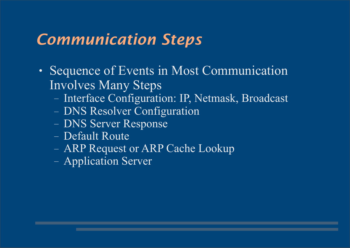# *Communication Steps*

- Sequence of Events in Most Communication Involves Many Steps
	- Interface Configuration: IP, Netmask, Broadcast
	- DNS Resolver Configuration
	- DNS Server Response
	- Default Route
	- ARP Request or ARP Cache Lookup
	- Application Server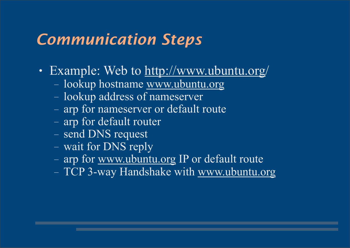# *Communication Steps*

- Example: Web to [http://www.ubuntu.org/](http://www.ubuntu.org)
	- lookup hostname [www.ubuntu.org](http://www.ubuntu.org)
	- lookup address of nameserver
	- arp for nameserver or default route
	- arp for default router
	- send DNS request
	- wait for DNS reply
	- arp for [www.ubuntu.org](http://www.ubuntu.org) IP or default route
	- TCP 3-way Handshake with [www.ubuntu.org](http://www.ubuntu.org)